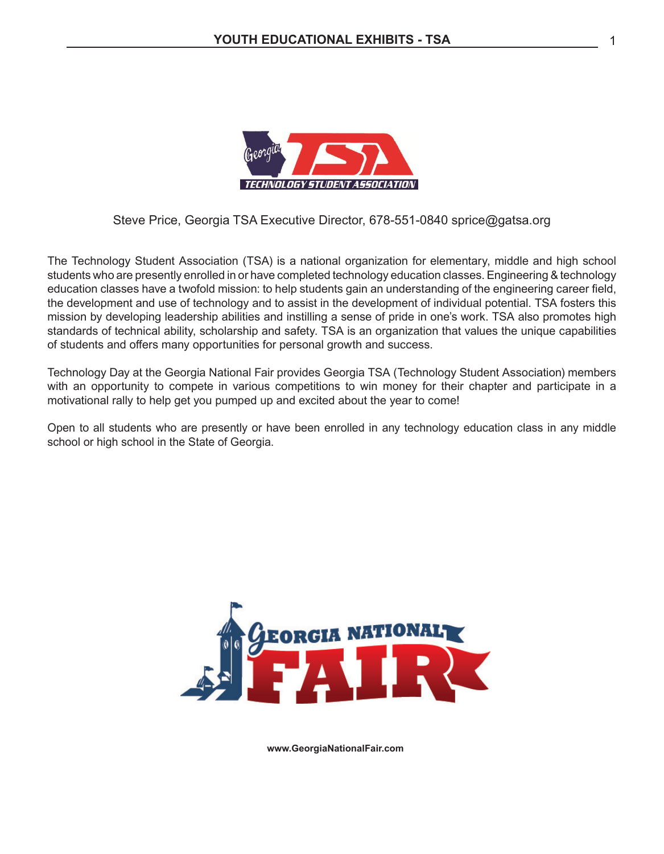

Steve Price, Georgia TSA Executive Director, 678-551-0840 sprice@gatsa.org

The Technology Student Association (TSA) is a national organization for elementary, middle and high school students who are presently enrolled in or have completed technology education classes. Engineering & technology education classes have a twofold mission: to help students gain an understanding of the engineering career field, the development and use of technology and to assist in the development of individual potential. TSA fosters this mission by developing leadership abilities and instilling a sense of pride in one's work. TSA also promotes high standards of technical ability, scholarship and safety. TSA is an organization that values the unique capabilities of students and offers many opportunities for personal growth and success.

Technology Day at the Georgia National Fair provides Georgia TSA (Technology Student Association) members with an opportunity to compete in various competitions to win money for their chapter and participate in a motivational rally to help get you pumped up and excited about the year to come!

Open to all students who are presently or have been enrolled in any technology education class in any middle school or high school in the State of Georgia.



**www.GeorgiaNationalFair.com**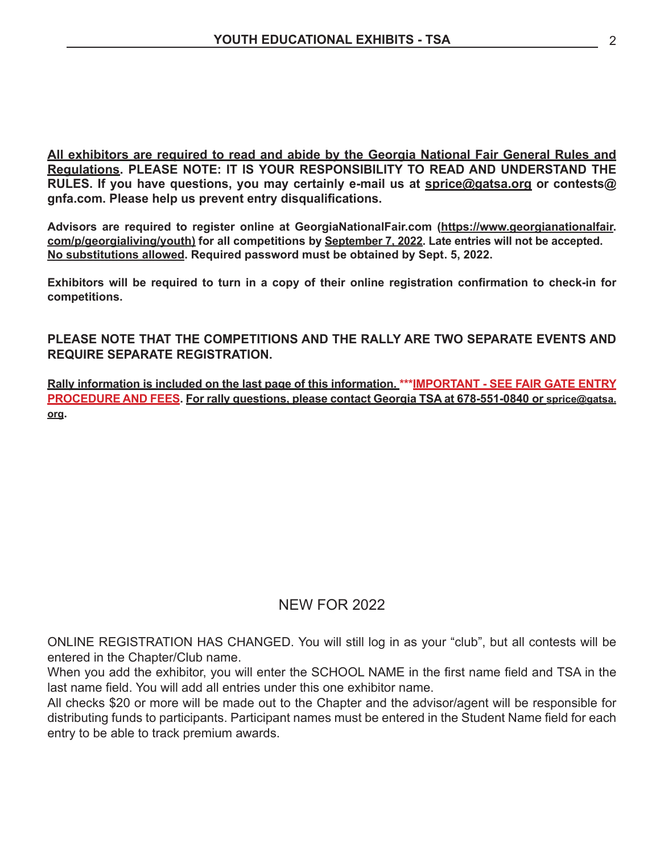**All exhibitors are required to read and abide by the Georgia National Fair General Rules and Regulations. PLEASE NOTE: IT IS YOUR RESPONSIBILITY TO READ AND UNDERSTAND THE RULES. If you have questions, you may certainly e-mail us at sprice@gatsa.org or contests@ gnfa.com. Please help us prevent entry disqualifications.**

**Advisors are required to register online at GeorgiaNationalFair.com (https://www.georgianationalfair. com/p/georgialiving/youth) for all competitions by September 7, 2022. Late entries will not be accepted. No substitutions allowed. Required password must be obtained by Sept. 5, 2022.**

**Exhibitors will be required to turn in a copy of their online registration confirmation to check-in for competitions.** 

**PLEASE NOTE THAT THE COMPETITIONS AND THE RALLY ARE TWO SEPARATE EVENTS AND REQUIRE SEPARATE REGISTRATION.**

**Rally information is included on the last page of this information. \*\*\*IMPORTANT - SEE FAIR GATE ENTRY PROCEDURE AND FEES. For rally questions, please contact Georgia TSA at 678-551-0840 or sprice@gatsa. org.**

# NEW FOR 2022

ONLINE REGISTRATION HAS CHANGED. You will still log in as your "club", but all contests will be entered in the Chapter/Club name.

When you add the exhibitor, you will enter the SCHOOL NAME in the first name field and TSA in the last name field. You will add all entries under this one exhibitor name.

All checks \$20 or more will be made out to the Chapter and the advisor/agent will be responsible for distributing funds to participants. Participant names must be entered in the Student Name field for each entry to be able to track premium awards.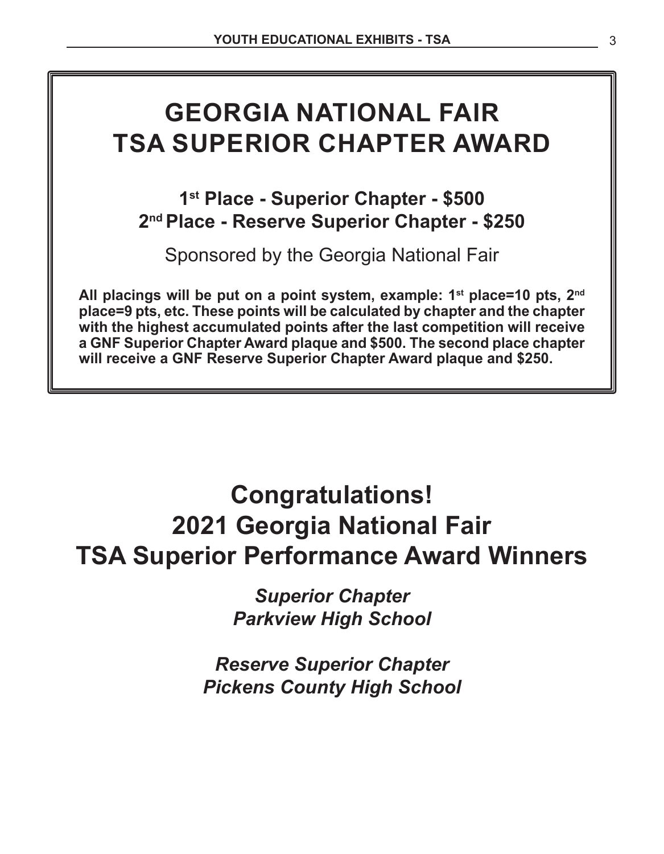# **GEORGIA NATIONAL FAIR TSA SUPERIOR CHAPTER AWARD**

**1st Place - Superior Chapter - \$500 2nd Place - Reserve Superior Chapter - \$250**

Sponsored by the Georgia National Fair

 **All placings will be put on a point system, example: 1st place=10 pts, 2nd place=9 pts, etc. These points will be calculated by chapter and the chapter with the highest accumulated points after the last competition will receive a GNF Superior Chapter Award plaque and \$500. The second place chapter will receive a GNF Reserve Superior Chapter Award plaque and \$250.**

# **Congratulations! 2021 Georgia National Fair TSA Superior Performance Award Winners**

*Superior Chapter Parkview High School*

*Reserve Superior Chapter Pickens County High School*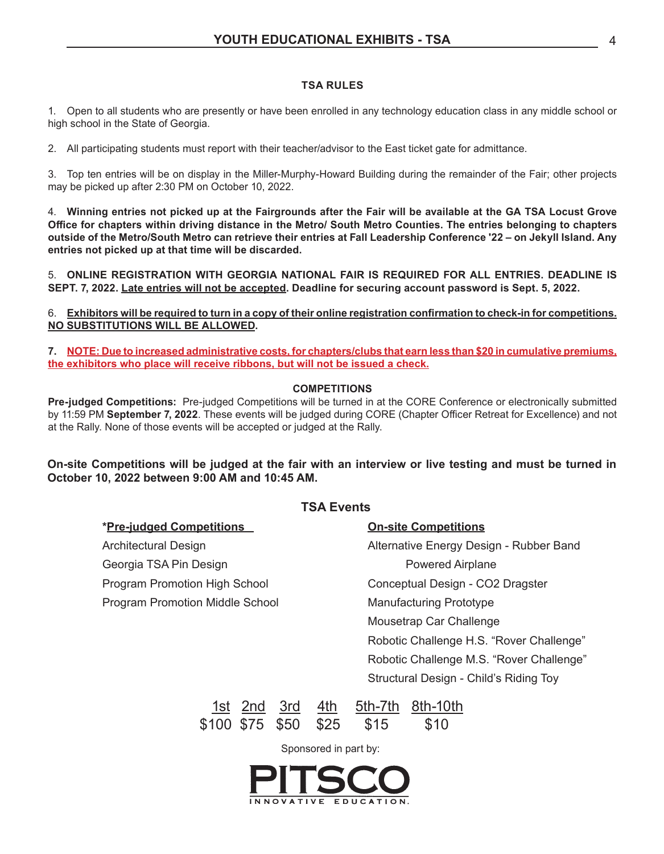#### **TSA RULES**

1. Open to all students who are presently or have been enrolled in any technology education class in any middle school or high school in the State of Georgia.

2. All participating students must report with their teacher/advisor to the East ticket gate for admittance.

3. Top ten entries will be on display in the Miller-Murphy-Howard Building during the remainder of the Fair; other projects may be picked up after 2:30 PM on October 10, 2022.

4. **Winning entries not picked up at the Fairgrounds after the Fair will be available at the GA TSA Locust Grove Office for chapters within driving distance in the Metro/ South Metro Counties. The entries belonging to chapters outside of the Metro/South Metro can retrieve their entries at Fall Leadership Conference '22 – on Jekyll Island. Any entries not picked up at that time will be discarded.** 

5. **ONLINE REGISTRATION WITH GEORGIA NATIONAL FAIR IS REQUIRED FOR ALL ENTRIES. DEADLINE IS SEPT. 7, 2022. Late entries will not be accepted. Deadline for securing account password is Sept. 5, 2022.**

6. **Exhibitors will be required to turn in a copy of their online registration confirmation to check-in for competitions. NO SUBSTITUTIONS WILL BE ALLOWED.**

**7. NOTE: Due to increased administrative costs, for chapters/clubs that earn less than \$20 in cumulative premiums, the exhibitors who place will receive ribbons, but will not be issued a check.**

#### **COMPETITIONS**

**Pre-judged Competitions:** Pre-judged Competitions will be turned in at the CORE Conference or electronically submitted by 11:59 PM **September 7, 2022**. These events will be judged during CORE (Chapter Officer Retreat for Excellence) and not at the Rally. None of those events will be accepted or judged at the Rally.

**On-site Competitions will be judged at the fair with an interview or live testing and must be turned in October 10, 2022 between 9:00 AM and 10:45 AM.** 

#### **TSA Events**

**\*Pre-judged Competitions On-site Competitions** Georgia TSA Pin Design **Powered Airplane** Program Promotion Middle School Manufacturing Prototype

Architectural Design Alternative Energy Design - Rubber Band Program Promotion High School Conceptual Design - CO2 Dragster Mousetrap Car Challenge Robotic Challenge H.S. "Rover Challenge" Robotic Challenge M.S. "Rover Challenge" Structural Design - Child's Riding Toy

> 1st 2nd 3rd 4th 5th-7th 8th-10th \$100 \$75 \$50 \$25 \$15 \$10

> > Sponsored in part by:

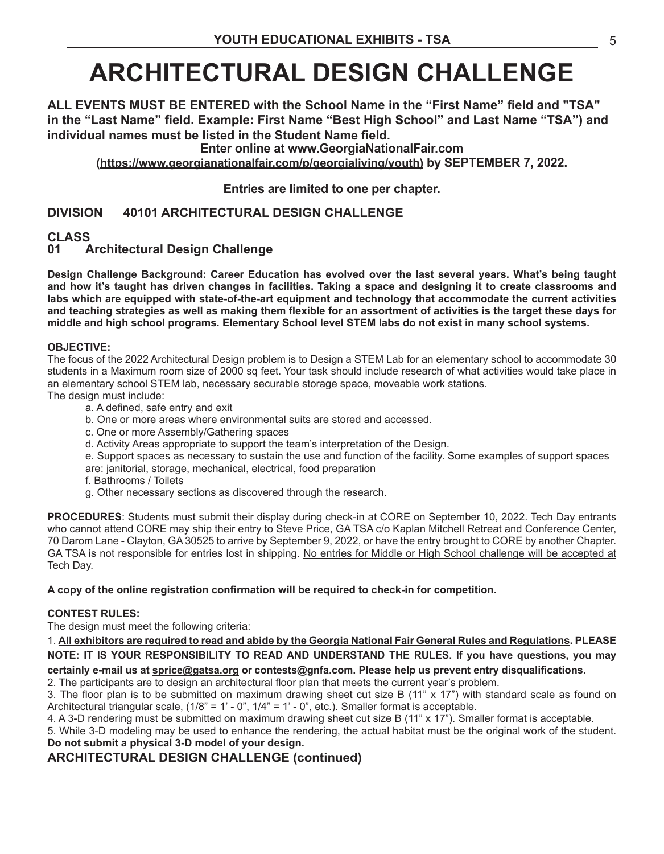# **ARCHITECTURAL DESIGN CHALLENGE**

**ALL EVENTS MUST BE ENTERED with the School Name in the "First Name" field and "TSA" in the "Last Name" field. Example: First Name "Best High School" and Last Name "TSA") and individual names must be listed in the Student Name field.**

**Enter online at www.GeorgiaNationalFair.com** 

**(https://www.georgianationalfair.com/p/georgialiving/youth) by SEPTEMBER 7, 2022.** 

**Entries are limited to one per chapter.**

# **DIVISION 40101 ARCHITECTURAL DESIGN CHALLENGE**

#### **CLASS 01 Architectural Design Challenge**

**Design Challenge Background: Career Education has evolved over the last several years. What's being taught and how it's taught has driven changes in facilities. Taking a space and designing it to create classrooms and labs which are equipped with state-of-the-art equipment and technology that accommodate the current activities and teaching strategies as well as making them flexible for an assortment of activities is the target these days for middle and high school programs. Elementary School level STEM labs do not exist in many school systems.**

#### **OBJECTIVE:**

The focus of the 2022 Architectural Design problem is to Design a STEM Lab for an elementary school to accommodate 30 students in a Maximum room size of 2000 sq feet. Your task should include research of what activities would take place in an elementary school STEM lab, necessary securable storage space, moveable work stations. The design must include:

a. A defined, safe entry and exit

b. One or more areas where environmental suits are stored and accessed.

c. One or more Assembly/Gathering spaces

d. Activity Areas appropriate to support the team's interpretation of the Design.

e. Support spaces as necessary to sustain the use and function of the facility. Some examples of support spaces are: janitorial, storage, mechanical, electrical, food preparation

f. Bathrooms / Toilets

g. Other necessary sections as discovered through the research.

**PROCEDURES**: Students must submit their display during check-in at CORE on September 10, 2022. Tech Day entrants who cannot attend CORE may ship their entry to Steve Price, GA TSA c/o Kaplan Mitchell Retreat and Conference Center, 70 Darom Lane - Clayton, GA 30525 to arrive by September 9, 2022, or have the entry brought to CORE by another Chapter. GA TSA is not responsible for entries lost in shipping. No entries for Middle or High School challenge will be accepted at Tech Day.

#### **A copy of the online registration confirmation will be required to check-in for competition.**

#### **CONTEST RULES:**

The design must meet the following criteria:

1. **All exhibitors are required to read and abide by the Georgia National Fair General Rules and Regulations. PLEASE NOTE: IT IS YOUR RESPONSIBILITY TO READ AND UNDERSTAND THE RULES. If you have questions, you may certainly e-mail us at sprice@gatsa.org or contests@gnfa.com. Please help us prevent entry disqualifications.**

2. The participants are to design an architectural floor plan that meets the current year's problem.

3. The floor plan is to be submitted on maximum drawing sheet cut size B (11" x 17") with standard scale as found on Architectural triangular scale, (1/8" = 1' - 0", 1/4" = 1' - 0", etc.). Smaller format is acceptable.

4. A 3-D rendering must be submitted on maximum drawing sheet cut size B (11" x 17"). Smaller format is acceptable.

5. While 3-D modeling may be used to enhance the rendering, the actual habitat must be the original work of the student. **Do not submit a physical 3-D model of your design.**

### **ARCHITECTURAL DESIGN CHALLENGE (continued)**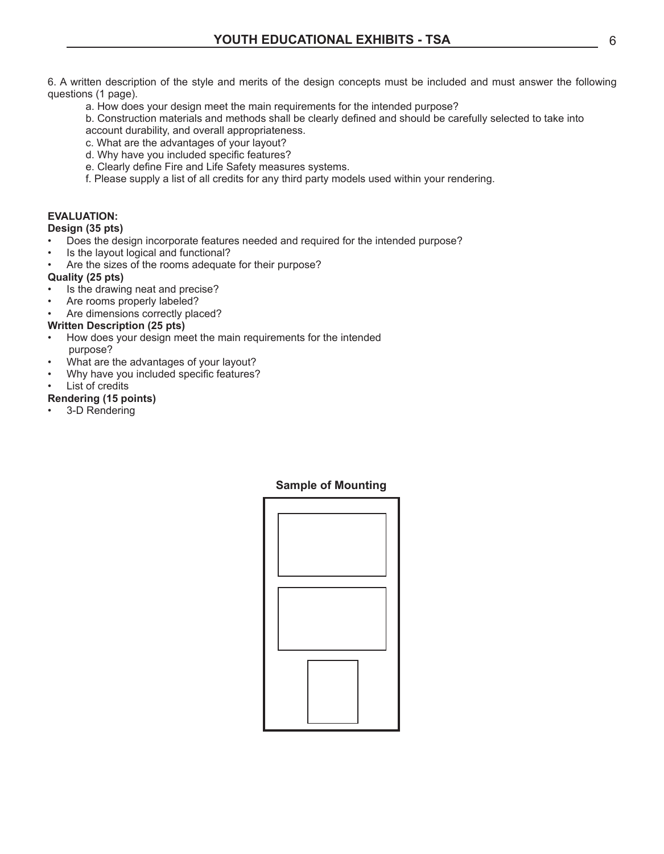6. A written description of the style and merits of the design concepts must be included and must answer the following questions (1 page).

a. How does your design meet the main requirements for the intended purpose?

b. Construction materials and methods shall be clearly defined and should be carefully selected to take into account durability, and overall appropriateness.

- c. What are the advantages of your layout?
- d. Why have you included specific features?
- e. Clearly define Fire and Life Safety measures systems.

f. Please supply a list of all credits for any third party models used within your rendering.

### **EVALUATION:**

#### **Design (35 pts)**

- Does the design incorporate features needed and required for the intended purpose?
- Is the layout logical and functional?
- Are the sizes of the rooms adequate for their purpose?

#### **Quality (25 pts)**

- Is the drawing neat and precise?
- Are rooms properly labeled?
- Are dimensions correctly placed?

#### **Written Description (25 pts)**

- How does your design meet the main requirements for the intended purpose?
- What are the advantages of your layout?
- Why have you included specific features?
- List of credits

#### **Rendering (15 points)**

3-D Rendering

#### **Sample of Mounting**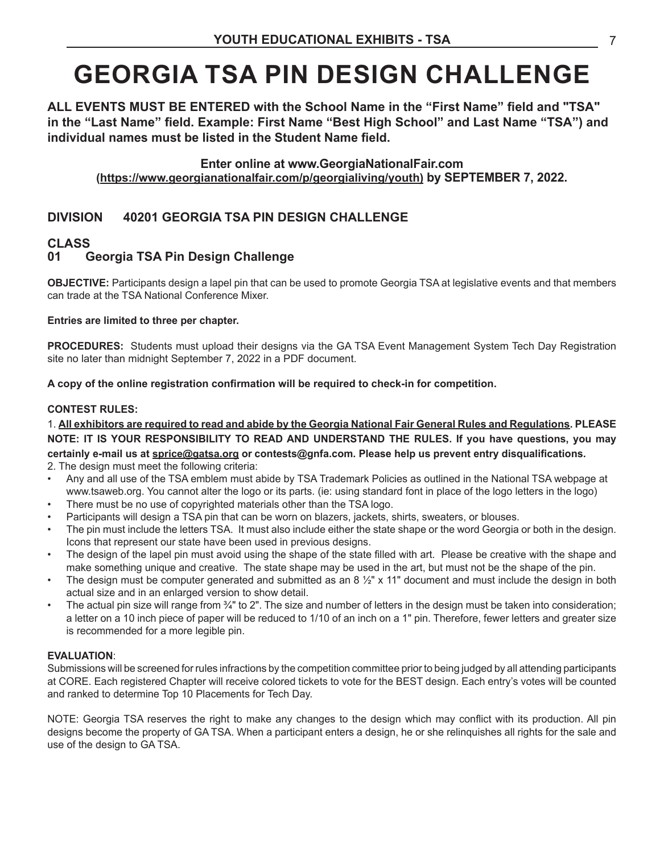# **GEORGIA TSA PIN DESIGN CHALLENGE**

**ALL EVENTS MUST BE ENTERED with the School Name in the "First Name" field and "TSA" in the "Last Name" field. Example: First Name "Best High School" and Last Name "TSA") and individual names must be listed in the Student Name field.**

**Enter online at www.GeorgiaNationalFair.com (https://www.georgianationalfair.com/p/georgialiving/youth) by SEPTEMBER 7, 2022.** 

# **DIVISION 40201 GEORGIA TSA PIN DESIGN CHALLENGE**

# **CLASS**

# **01 Georgia TSA Pin Design Challenge**

**OBJECTIVE:** Participants design a lapel pin that can be used to promote Georgia TSA at legislative events and that members can trade at the TSA National Conference Mixer.

#### **Entries are limited to three per chapter.**

**PROCEDURES:** Students must upload their designs via the GA TSA Event Management System Tech Day Registration site no later than midnight September 7, 2022 in a PDF document.

**A copy of the online registration confirmation will be required to check-in for competition.** 

#### **CONTEST RULES:**

1. **All exhibitors are required to read and abide by the Georgia National Fair General Rules and Regulations. PLEASE NOTE: IT IS YOUR RESPONSIBILITY TO READ AND UNDERSTAND THE RULES. If you have questions, you may certainly e-mail us at sprice@gatsa.org or contests@gnfa.com. Please help us prevent entry disqualifications.** 2. The design must meet the following criteria:

- Any and all use of the TSA emblem must abide by TSA Trademark Policies as outlined in the National TSA webpage at www.tsaweb.org. You cannot alter the logo or its parts. (ie: using standard font in place of the logo letters in the logo)
- There must be no use of copyrighted materials other than the TSA logo.
- Participants will design a TSA pin that can be worn on blazers, jackets, shirts, sweaters, or blouses.
- The pin must include the letters TSA. It must also include either the state shape or the word Georgia or both in the design. Icons that represent our state have been used in previous designs.
- The design of the lapel pin must avoid using the shape of the state filled with art. Please be creative with the shape and make something unique and creative. The state shape may be used in the art, but must not be the shape of the pin.
- The design must be computer generated and submitted as an 8  $\frac{1}{2}$ " x 11" document and must include the design in both actual size and in an enlarged version to show detail.
- The actual pin size will range from 3/4" to 2". The size and number of letters in the design must be taken into consideration; a letter on a 10 inch piece of paper will be reduced to 1/10 of an inch on a 1" pin. Therefore, fewer letters and greater size is recommended for a more legible pin.

#### **EVALUATION**:

Submissions will be screened for rules infractions by the competition committee prior to being judged by all attending participants at CORE. Each registered Chapter will receive colored tickets to vote for the BEST design. Each entry's votes will be counted and ranked to determine Top 10 Placements for Tech Day.

NOTE: Georgia TSA reserves the right to make any changes to the design which may conflict with its production. All pin designs become the property of GA TSA. When a participant enters a design, he or she relinquishes all rights for the sale and use of the design to GA TSA.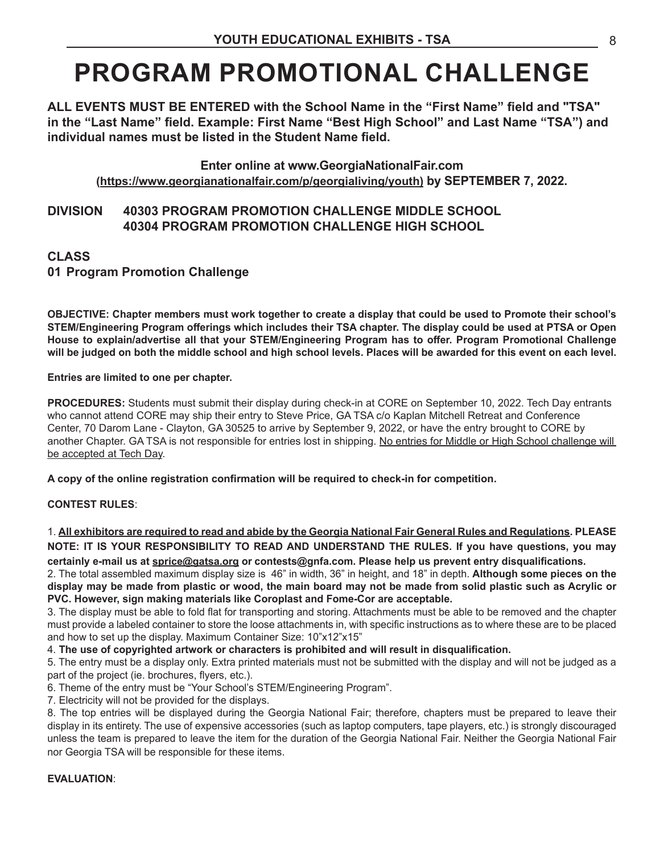# **PROGRAM PROMOTIONAL CHALLENGE**

**ALL EVENTS MUST BE ENTERED with the School Name in the "First Name" field and "TSA" in the "Last Name" field. Example: First Name "Best High School" and Last Name "TSA") and individual names must be listed in the Student Name field.**

**Enter online at www.GeorgiaNationalFair.com (https://www.georgianationalfair.com/p/georgialiving/youth) by SEPTEMBER 7, 2022.** 

### **DIVISION 40303 PROGRAM PROMOTION CHALLENGE MIDDLE SCHOOL 40304 PROGRAM PROMOTION CHALLENGE HIGH SCHOOL**

### **CLASS**

### **01 Program Promotion Challenge**

**OBJECTIVE: Chapter members must work together to create a display that could be used to Promote their school's STEM/Engineering Program offerings which includes their TSA chapter. The display could be used at PTSA or Open House to explain/advertise all that your STEM/Engineering Program has to offer. Program Promotional Challenge will be judged on both the middle school and high school levels. Places will be awarded for this event on each level.**

#### **Entries are limited to one per chapter.**

**PROCEDURES:** Students must submit their display during check-in at CORE on September 10, 2022. Tech Day entrants who cannot attend CORE may ship their entry to Steve Price, GA TSA c/o Kaplan Mitchell Retreat and Conference Center, 70 Darom Lane - Clayton, GA 30525 to arrive by September 9, 2022, or have the entry brought to CORE by another Chapter. GA TSA is not responsible for entries lost in shipping. No entries for Middle or High School challenge will be accepted at Tech Day.

**A copy of the online registration confirmation will be required to check-in for competition.** 

#### **CONTEST RULES**:

1. **All exhibitors are required to read and abide by the Georgia National Fair General Rules and Regulations. PLEASE NOTE: IT IS YOUR RESPONSIBILITY TO READ AND UNDERSTAND THE RULES. If you have questions, you may certainly e-mail us at sprice@gatsa.org or contests@gnfa.com. Please help us prevent entry disqualifications.**

2. The total assembled maximum display size is 46" in width, 36" in height, and 18" in depth. **Although some pieces on the display may be made from plastic or wood, the main board may not be made from solid plastic such as Acrylic or PVC. However, sign making materials like Coroplast and Fome-Cor are acceptable.**

3. The display must be able to fold flat for transporting and storing. Attachments must be able to be removed and the chapter must provide a labeled container to store the loose attachments in, with specific instructions as to where these are to be placed and how to set up the display. Maximum Container Size: 10"x12"x15"

4. **The use of copyrighted artwork or characters is prohibited and will result in disqualification.**

5. The entry must be a display only. Extra printed materials must not be submitted with the display and will not be judged as a part of the project (ie. brochures, flyers, etc.).

6. Theme of the entry must be "Your School's STEM/Engineering Program".

7. Electricity will not be provided for the displays.

8. The top entries will be displayed during the Georgia National Fair; therefore, chapters must be prepared to leave their display in its entirety. The use of expensive accessories (such as laptop computers, tape players, etc.) is strongly discouraged unless the team is prepared to leave the item for the duration of the Georgia National Fair. Neither the Georgia National Fair nor Georgia TSA will be responsible for these items.

#### **EVALUATION**: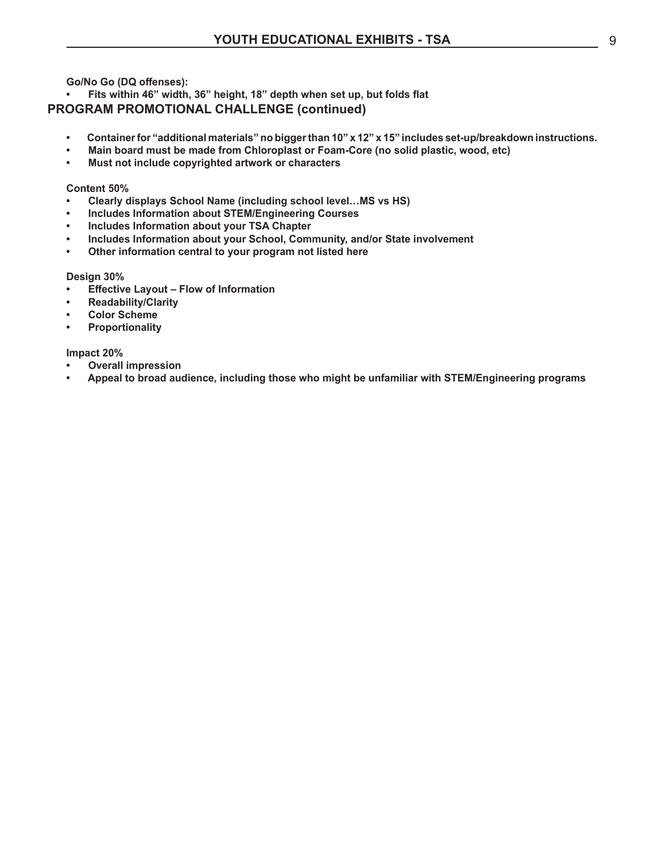**Go/No Go (DQ offenses):**

**• Fits within 46" width, 36" height, 18" depth when set up, but folds flat**

#### **PROGRAM PROMOTIONAL CHALLENGE (continued)**

- **Container for "additional materials" no bigger than 10" x 12" x 15" includes set-up/breakdown instructions.**
- **Main board must be made from Chloroplast or Foam-Core (no solid plastic, wood, etc)**
- **Must not include copyrighted artwork or characters**

#### **Content 50%**

- **Clearly displays School Name (including school level…MS vs HS)**
- **Includes Information about STEM/Engineering Courses**
- **Includes Information about your TSA Chapter**
- **Includes Information about your School, Community, and/or State involvement**
- **Other information central to your program not listed here**

#### **Design 30%**

- **Effective Layout Flow of Information**
- **Readability/Clarity**
- **Color Scheme**
- **Proportionality**

**Impact 20%**

- **Overall impression**
- **Appeal to broad audience, including those who might be unfamiliar with STEM/Engineering programs**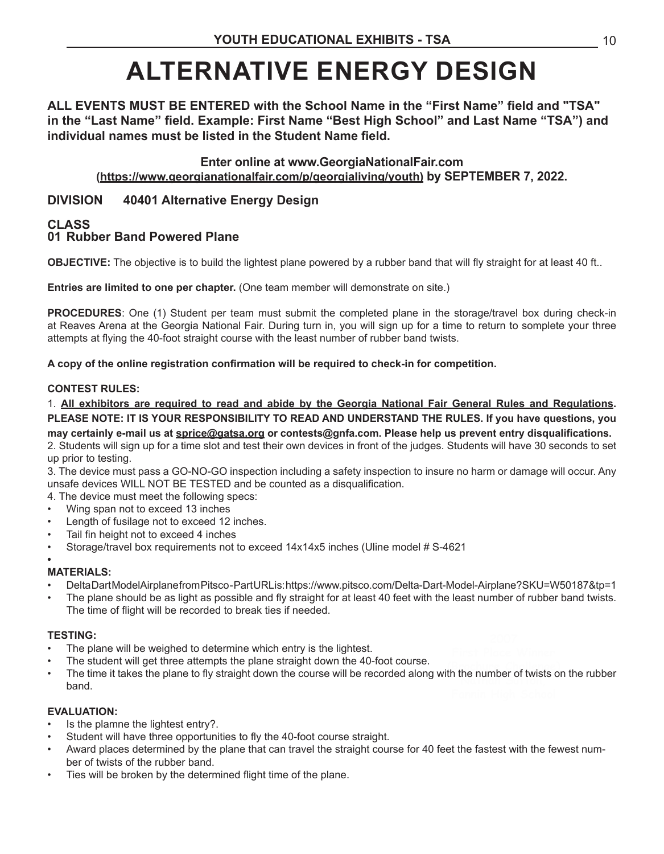# **ALTERNATIVE ENERGY DESIGN**

**ALL EVENTS MUST BE ENTERED with the School Name in the "First Name" field and "TSA" in the "Last Name" field. Example: First Name "Best High School" and Last Name "TSA") and individual names must be listed in the Student Name field.**

**Enter online at www.GeorgiaNationalFair.com (https://www.georgianationalfair.com/p/georgialiving/youth) by SEPTEMBER 7, 2022.** 

# **DIVISION 40401 Alternative Energy Design**

#### **CLASS 01 Rubber Band Powered Plane**

**OBJECTIVE:** The objective is to build the lightest plane powered by a rubber band that will fly straight for at least 40 ft..

**Entries are limited to one per chapter.** (One team member will demonstrate on site.)

**PROCEDURES**: One (1) Student per team must submit the completed plane in the storage/travel box during check-in at Reaves Arena at the Georgia National Fair. During turn in, you will sign up for a time to return to somplete your three attempts at flying the 40-foot straight course with the least number of rubber band twists.

**A copy of the online registration confirmation will be required to check-in for competition.** 

#### **CONTEST RULES:**

1. **All exhibitors are required to read and abide by the Georgia National Fair General Rules and Regulations. PLEASE NOTE: IT IS YOUR RESPONSIBILITY TO READ AND UNDERSTAND THE RULES. If you have questions, you may certainly e-mail us at sprice@gatsa.org or contests@gnfa.com. Please help us prevent entry disqualifications.** 2. Students will sign up for a time slot and test their own devices in front of the judges. Students will have 30 seconds to set up prior to testing.

3. The device must pass a GO-NO-GO inspection including a safety inspection to insure no harm or damage will occur. Any unsafe devices WILL NOT BE TESTED and be counted as a disqualification.

- 4. The device must meet the following specs:
- Wing span not to exceed 13 inches
- Length of fusilage not to exceed 12 inches.
- Tail fin height not to exceed 4 inches
- Storage/travel box requirements not to exceed 14x14x5 inches (Uline model # S-4621

#### **•**

- **MATERIALS:**
- Delta Dart Model Airplane from Pitsco Part URL is: https://www.pitsco.com/Delta-Dart-Model-Airplane?SKU=W50187&tp=1
- The plane should be as light as possible and fly straight for at least 40 feet with the least number of rubber band twists. The time of flight will be recorded to break ties if needed.

#### **TESTING:**

- The plane will be weighed to determine which entry is the lightest.
- The student will get three attempts the plane straight down the 40-foot course.
- the the number of twiste of • The time it takes the plane to fly straight down the course will be recorded along with the number of twists on the rubber<br>hand band.

#### **EVALUATION:**

- Is the plamne the lightest entry?.
- Student will have three opportunities to fly the 40-foot course straight.
- Award places determined by the plane that can travel the straight course for 40 feet the fastest with the fewest number of twists of the rubber band.
- Ties will be broken by the determined flight time of the plane.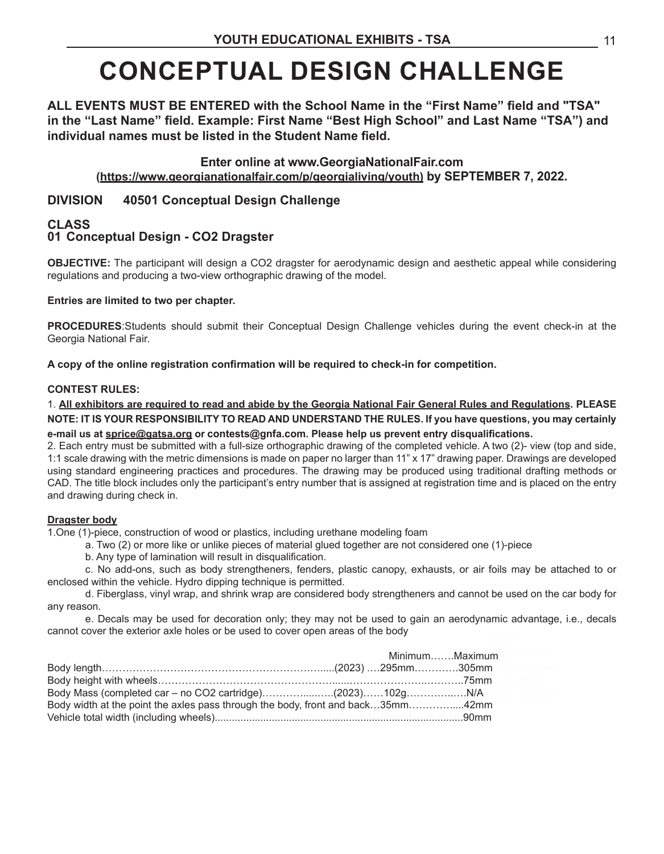# **CONCEPTUAL DESIGN CHALLENGE**

**ALL EVENTS MUST BE ENTERED with the School Name in the "First Name" field and "TSA" in the "Last Name" field. Example: First Name "Best High School" and Last Name "TSA") and individual names must be listed in the Student Name field.**

**Enter online at www.GeorgiaNationalFair.com (https://www.georgianationalfair.com/p/georgialiving/youth) by SEPTEMBER 7, 2022.** 

### **DIVISION 40501 Conceptual Design Challenge**

#### **CLASS 01 Conceptual Design - CO2 Dragster**

**OBJECTIVE:** The participant will design a CO2 dragster for aerodynamic design and aesthetic appeal while considering regulations and producing a two-view orthographic drawing of the model.

#### **Entries are limited to two per chapter.**

**PROCEDURES**:Students should submit their Conceptual Design Challenge vehicles during the event check-in at the Georgia National Fair.

**A copy of the online registration confirmation will be required to check-in for competition.** 

#### **CONTEST RULES:**

1. **All exhibitors are required to read and abide by the Georgia National Fair General Rules and Regulations. PLEASE NOTE: IT IS YOUR RESPONSIBILITY TO READ AND UNDERSTAND THE RULES. If you have questions, you may certainly e-mail us at sprice@gatsa.org or contests@gnfa.com. Please help us prevent entry disqualifications.**

2. Each entry must be submitted with a full-size orthographic drawing of the completed vehicle. A two (2)- view (top and side, 1:1 scale drawing with the metric dimensions is made on paper no larger than 11" x 17" drawing paper. Drawings are developed using standard engineering practices and procedures. The drawing may be produced using traditional drafting methods or CAD. The title block includes only the participant's entry number that is assigned at registration time and is placed on the entry and drawing during check in.

#### **Dragster body**

1.One (1)-piece, construction of wood or plastics, including urethane modeling foam

- a. Two (2) or more like or unlike pieces of material glued together are not considered one (1)-piece
- b. Any type of lamination will result in disqualification.

c. No add-ons, such as body strengtheners, fenders, plastic canopy, exhausts, or air foils may be attached to or enclosed within the vehicle. Hydro dipping technique is permitted.

d. Fiberglass, vinyl wrap, and shrink wrap are considered body strengtheners and cannot be used on the car body for any reason.

e. Decals may be used for decoration only; they may not be used to gain an aerodynamic advantage, i.e., decals cannot cover the exterior axle holes or be used to cover open areas of the body

|                                                                                 | MinimumMaximum |  |
|---------------------------------------------------------------------------------|----------------|--|
|                                                                                 |                |  |
|                                                                                 |                |  |
| Body Mass (completed car - no CO2 cartridge)(2023)102gN/A                       |                |  |
| Body width at the point the axles pass through the body, front and back35mm42mm |                |  |
|                                                                                 |                |  |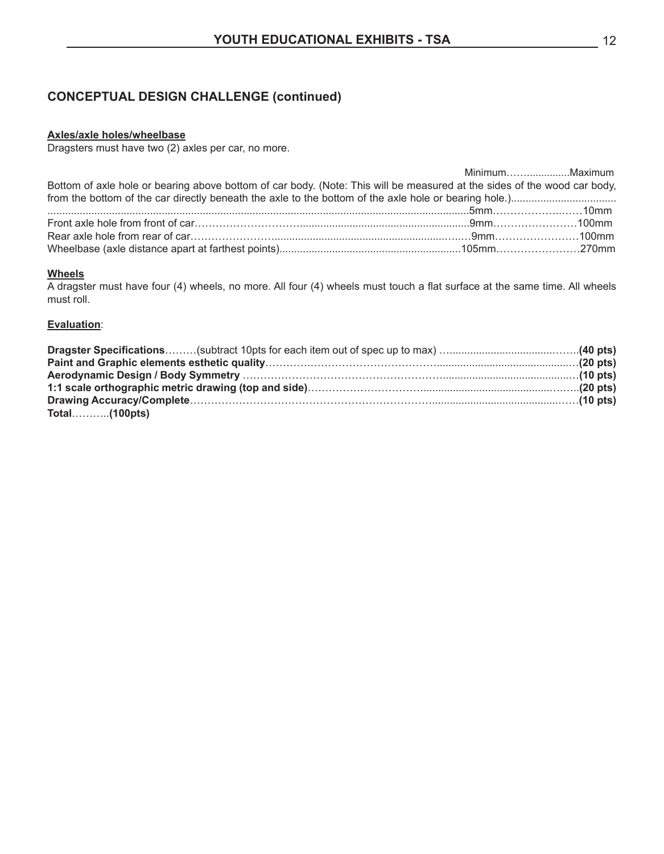# **CONCEPTUAL DESIGN CHALLENGE (continued)**

#### **Axles/axle holes/wheelbase**

Dragsters must have two (2) axles per car, no more.

| Bottom of axle hole or bearing above bottom of car body. (Note: This will be measured at the sides of the wood car body, |  |
|--------------------------------------------------------------------------------------------------------------------------|--|
|                                                                                                                          |  |
|                                                                                                                          |  |
|                                                                                                                          |  |
|                                                                                                                          |  |
|                                                                                                                          |  |
|                                                                                                                          |  |

#### **Wheels**

A dragster must have four (4) wheels, no more. All four (4) wheels must touch a flat surface at the same time. All wheels must roll.

#### **Evaluation**:

| $Total$ (100pts) |  |
|------------------|--|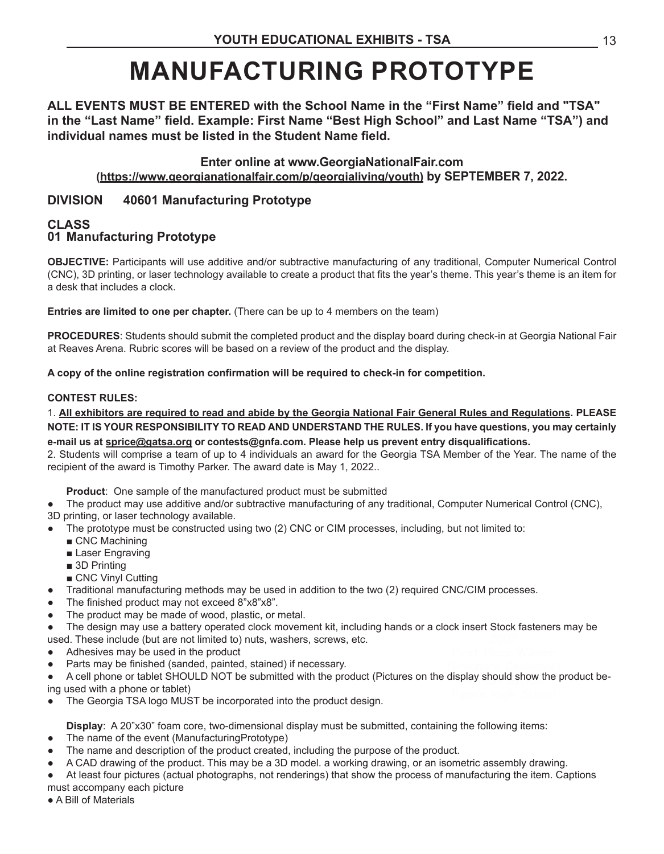# **MANUFACTURING PROTOTYPE**

**ALL EVENTS MUST BE ENTERED with the School Name in the "First Name" field and "TSA" in the "Last Name" field. Example: First Name "Best High School" and Last Name "TSA") and individual names must be listed in the Student Name field.**

**Enter online at www.GeorgiaNationalFair.com (https://www.georgianationalfair.com/p/georgialiving/youth) by SEPTEMBER 7, 2022.** 

# **DIVISION 40601 Manufacturing Prototype**

#### **CLASS 01 Manufacturing Prototype**

**OBJECTIVE:** Participants will use additive and/or subtractive manufacturing of any traditional, Computer Numerical Control (CNC), 3D printing, or laser technology available to create a product that fits the year's theme. This year's theme is an item for a desk that includes a clock.

**Entries are limited to one per chapter.** (There can be up to 4 members on the team)

**PROCEDURES**: Students should submit the completed product and the display board during check-in at Georgia National Fair at Reaves Arena. Rubric scores will be based on a review of the product and the display.

**A copy of the online registration confirmation will be required to check-in for competition.** 

#### **CONTEST RULES:**

1. **All exhibitors are required to read and abide by the Georgia National Fair General Rules and Regulations. PLEASE NOTE: IT IS YOUR RESPONSIBILITY TO READ AND UNDERSTAND THE RULES. If you have questions, you may certainly** 

#### **e-mail us at sprice@gatsa.org or contests@gnfa.com. Please help us prevent entry disqualifications.**

2. Students will comprise a team of up to 4 individuals an award for the Georgia TSA Member of the Year. The name of the recipient of the award is Timothy Parker. The award date is May 1, 2022..

**Product**: One sample of the manufactured product must be submitted

The product may use additive and/or subtractive manufacturing of any traditional, Computer Numerical Control (CNC), 3D printing, or laser technology available.

• The prototype must be constructed using two (2) CNC or CIM processes, including, but not limited to:

- CNC Machining
- Laser Engraving
- 3D Printing
- CNC Vinyl Cutting
- Traditional manufacturing methods may be used in addition to the two (2) required CNC/CIM processes.
- The finished product may not exceed 8"x8"x8".
- The product may be made of wood, plastic, or metal.
- The design may use a battery operated clock movement kit, including hands or a clock insert Stock fasteners may be used. These include (but are not limited to) nuts, washers, screws, etc.
- Adhesives may be used in the product
- Parts may be finished (sanded, painted, stained) if necessary.
- **(Brochure Challenge)** ● A cell phone or tablet SHOULD NOT be submitted with the product (Pictures on the display should show the product be-<br>
→ The coll phone or tablet SHOULD NOT be submitted with the product (Pictures on the display should s
- ing used with a phone or tablet)
- The Georgia TSA logo MUST be incorporated into the product design.

**Display**: A 20"x30" foam core, two-dimensional display must be submitted, containing the following items:

- The name of the event (ManufacturingPrototype)
- The name and description of the product created, including the purpose of the product.
- A CAD drawing of the product. This may be a 3D model. a working drawing, or an isometric assembly drawing.

● At least four pictures (actual photographs, not renderings) that show the process of manufacturing the item. Captions must accompany each picture

● A Bill of Materials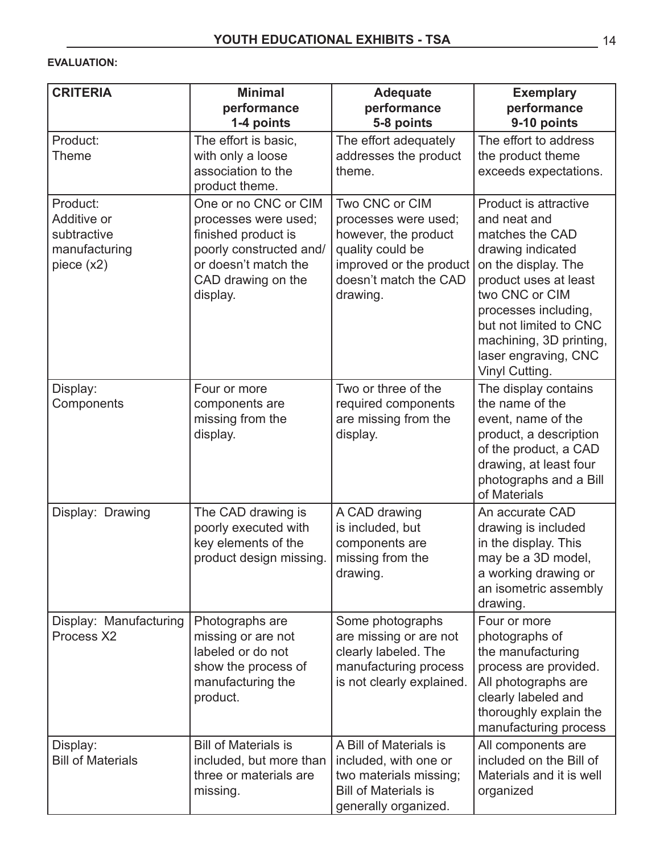### **EVALUATION:**

| <b>CRITERIA</b>                                                         | <b>Minimal</b><br>performance<br>1-4 points                                                                                                              | <b>Adequate</b><br>performance<br>5-8 points                                                                                                       | <b>Exemplary</b><br>performance<br>9-10 points                                                                                                                                                                                                                                |
|-------------------------------------------------------------------------|----------------------------------------------------------------------------------------------------------------------------------------------------------|----------------------------------------------------------------------------------------------------------------------------------------------------|-------------------------------------------------------------------------------------------------------------------------------------------------------------------------------------------------------------------------------------------------------------------------------|
| Product:<br><b>Theme</b>                                                | The effort is basic,<br>with only a loose<br>association to the<br>product theme.                                                                        | The effort adequately<br>addresses the product<br>theme.                                                                                           | The effort to address<br>the product theme<br>exceeds expectations.                                                                                                                                                                                                           |
| Product:<br>Additive or<br>subtractive<br>manufacturing<br>piece $(x2)$ | One or no CNC or CIM<br>processes were used;<br>finished product is<br>poorly constructed and/<br>or doesn't match the<br>CAD drawing on the<br>display. | Two CNC or CIM<br>processes were used;<br>however, the product<br>quality could be<br>improved or the product<br>doesn't match the CAD<br>drawing. | <b>Product is attractive</b><br>and neat and<br>matches the CAD<br>drawing indicated<br>on the display. The<br>product uses at least<br>two CNC or CIM<br>processes including,<br>but not limited to CNC<br>machining, 3D printing,<br>laser engraving, CNC<br>Vinyl Cutting. |
| Display:<br>Components                                                  | Four or more<br>components are<br>missing from the<br>display.                                                                                           | Two or three of the<br>required components<br>are missing from the<br>display.                                                                     | The display contains<br>the name of the<br>event, name of the<br>product, a description<br>of the product, a CAD<br>drawing, at least four<br>photographs and a Bill<br>of Materials                                                                                          |
| Display: Drawing                                                        | The CAD drawing is<br>poorly executed with<br>key elements of the<br>product design missing.                                                             | A CAD drawing<br>is included, but<br>components are<br>missing from the<br>drawing.                                                                | An accurate CAD<br>drawing is included<br>in the display. This<br>may be a 3D model,<br>a working drawing or<br>an isometric assembly<br>drawing.                                                                                                                             |
| Display: Manufacturing<br>Process X2                                    | Photographs are<br>missing or are not<br>labeled or do not<br>show the process of<br>manufacturing the<br>product.                                       | Some photographs<br>are missing or are not<br>clearly labeled. The<br>manufacturing process<br>is not clearly explained.                           | Four or more<br>photographs of<br>the manufacturing<br>process are provided.<br>All photographs are<br>clearly labeled and<br>thoroughly explain the<br>manufacturing process                                                                                                 |
| Display:<br><b>Bill of Materials</b>                                    | <b>Bill of Materials is</b><br>included, but more than<br>three or materials are<br>missing.                                                             | A Bill of Materials is<br>included, with one or<br>two materials missing;<br><b>Bill of Materials is</b><br>generally organized.                   | All components are<br>included on the Bill of<br>Materials and it is well<br>organized                                                                                                                                                                                        |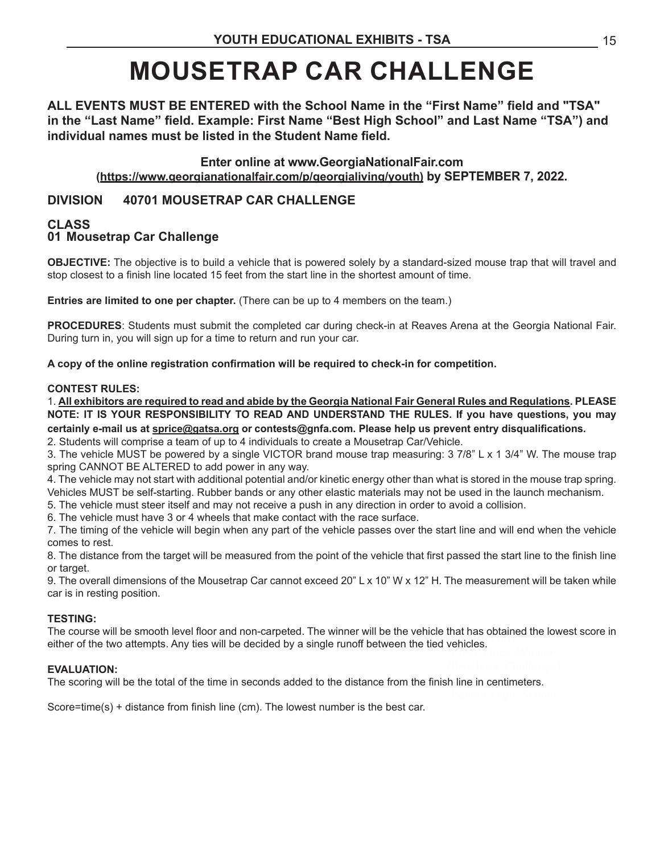# **MOUSETRAP CAR CHALLENGE**

**ALL EVENTS MUST BE ENTERED with the School Name in the "First Name" field and "TSA" in the "Last Name" field. Example: First Name "Best High School" and Last Name "TSA") and individual names must be listed in the Student Name field.**

**Enter online at www.GeorgiaNationalFair.com (https://www.georgianationalfair.com/p/georgialiving/youth) by SEPTEMBER 7, 2022.** 

**DIVISION 40701 MOUSETRAP CAR CHALLENGE**

#### **CLASS 01 Mousetrap Car Challenge**

**OBJECTIVE:** The objective is to build a vehicle that is powered solely by a standard-sized mouse trap that will travel and stop closest to a finish line located 15 feet from the start line in the shortest amount of time.

**Entries are limited to one per chapter.** (There can be up to 4 members on the team.)

**PROCEDURES**: Students must submit the completed car during check-in at Reaves Arena at the Georgia National Fair. During turn in, you will sign up for a time to return and run your car.

**A copy of the online registration confirmation will be required to check-in for competition.** 

#### **CONTEST RULES:**

1. **All exhibitors are required to read and abide by the Georgia National Fair General Rules and Regulations. PLEASE NOTE: IT IS YOUR RESPONSIBILITY TO READ AND UNDERSTAND THE RULES. If you have questions, you may certainly e-mail us at sprice@gatsa.org or contests@gnfa.com. Please help us prevent entry disqualifications.**

2. Students will comprise a team of up to 4 individuals to create a Mousetrap Car/Vehicle.

3. The vehicle MUST be powered by a single VICTOR brand mouse trap measuring: 3 7/8" L x 1 3/4" W. The mouse trap spring CANNOT BE ALTERED to add power in any way.

4. The vehicle may not start with additional potential and/or kinetic energy other than what is stored in the mouse trap spring. Vehicles MUST be self-starting. Rubber bands or any other elastic materials may not be used in the launch mechanism.

5. The vehicle must steer itself and may not receive a push in any direction in order to avoid a collision.

6. The vehicle must have 3 or 4 wheels that make contact with the race surface.

7. The timing of the vehicle will begin when any part of the vehicle passes over the start line and will end when the vehicle comes to rest.

8. The distance from the target will be measured from the point of the vehicle that first passed the start line to the finish line or target.

9. The overall dimensions of the Mousetrap Car cannot exceed 20" L x 10" W x 12" H. The measurement will be taken while car is in resting position.

#### **TESTING:**

The course will be smooth level floor and non-carpeted. The winner will be the vehicle that has obtained the lowest score in<br>either of the two attempts. Any ties will be decided by a single runoff between the tied vehicles either of the two attempts. Any ties will be decided by a single runoff between the tied vehicles.

#### **EVALUATION:**

The scoring will be the total of the time in seconds added to the distance from the finish line in centimeters.

Score=time(s) + distance from finish line (cm). The lowest number is the best car.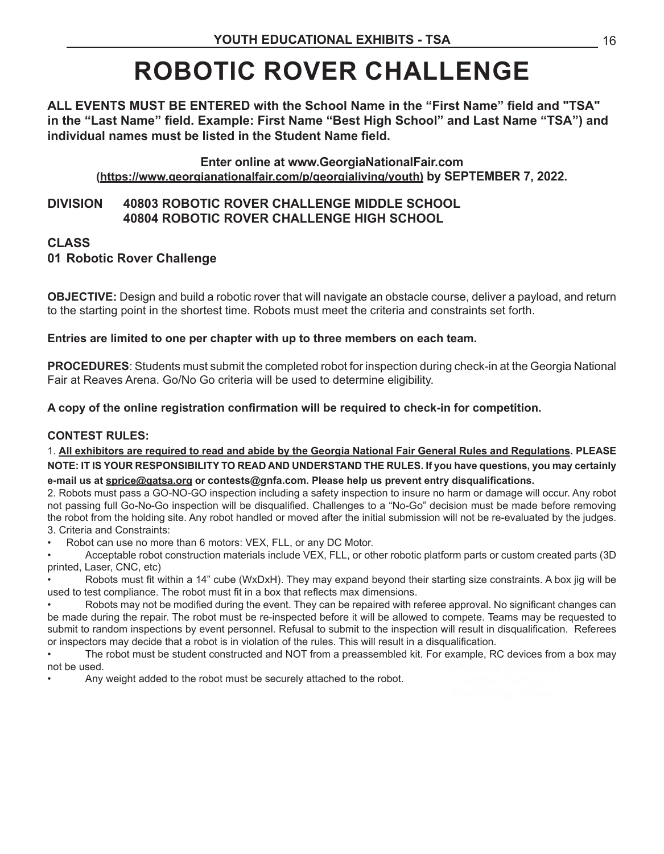# **ROBOTIC ROVER CHALLENGE**

**ALL EVENTS MUST BE ENTERED with the School Name in the "First Name" field and "TSA" in the "Last Name" field. Example: First Name "Best High School" and Last Name "TSA") and individual names must be listed in the Student Name field.**

**Enter online at www.GeorgiaNationalFair.com (https://www.georgianationalfair.com/p/georgialiving/youth) by SEPTEMBER 7, 2022.** 

### **DIVISION 40803 ROBOTIC ROVER CHALLENGE MIDDLE SCHOOL 40804 ROBOTIC ROVER CHALLENGE HIGH SCHOOL**

### **CLASS 01 Robotic Rover Challenge**

**OBJECTIVE:** Design and build a robotic rover that will navigate an obstacle course, deliver a payload, and return to the starting point in the shortest time. Robots must meet the criteria and constraints set forth.

### **Entries are limited to one per chapter with up to three members on each team.**

**PROCEDURES**: Students must submit the completed robot for inspection during check-in at the Georgia National Fair at Reaves Arena. Go/No Go criteria will be used to determine eligibility.

**A copy of the online registration confirmation will be required to check-in for competition.** 

### **CONTEST RULES:**

1. **All exhibitors are required to read and abide by the Georgia National Fair General Rules and Regulations. PLEASE NOTE: IT IS YOUR RESPONSIBILITY TO READ AND UNDERSTAND THE RULES. If you have questions, you may certainly e-mail us at sprice@gatsa.org or contests@gnfa.com. Please help us prevent entry disqualifications.**

2. Robots must pass a GO-NO-GO inspection including a safety inspection to insure no harm or damage will occur. Any robot not passing full Go-No-Go inspection will be disqualified. Challenges to a "No-Go" decision must be made before removing the robot from the holding site. Any robot handled or moved after the initial submission will not be re-evaluated by the judges. 3. Criteria and Constraints:

Robot can use no more than 6 motors: VEX, FLL, or any DC Motor.

• Acceptable robot construction materials include VEX, FLL, or other robotic platform parts or custom created parts (3D printed, Laser, CNC, etc)

• Robots must fit within a 14" cube (WxDxH). They may expand beyond their starting size constraints. A box jig will be used to test compliance. The robot must fit in a box that reflects max dimensions.

**2007** or inspectors may decide that a robot is in violation of the rules. This will result in a disqualification. Robots may not be modified during the event. They can be repaired with referee approval. No significant changes can be made during the repair. The robot must be re-inspected before it will be allowed to compete. Teams may be requested to submit to random inspections by event personnel. Refusal to submit to the inspection will result in disqualification. Referees

• The robot must be student constructed and NOT from a preassembled kit. For example, RC devices from a box may not be used.

Any weight added to the robot must be securely attached to the robot.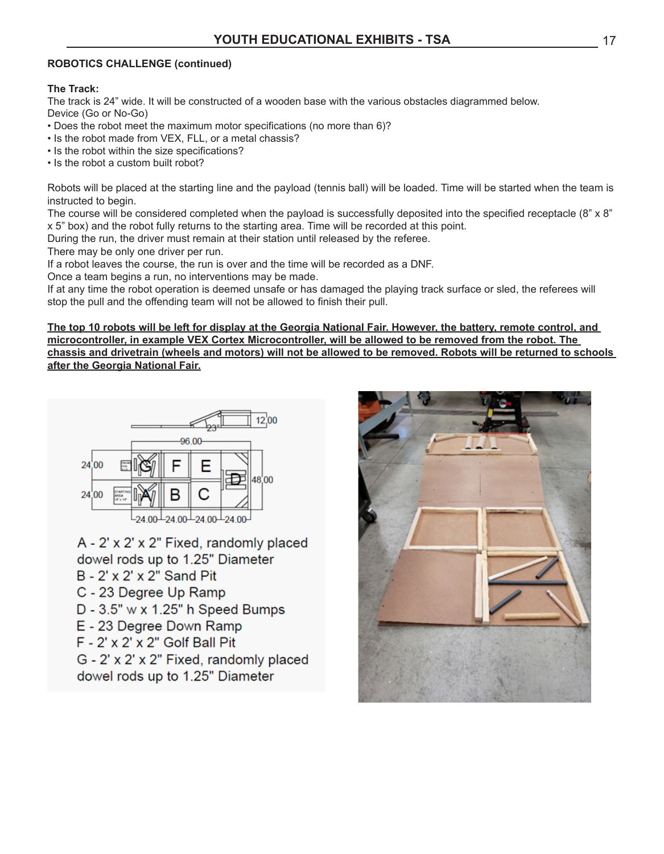#### **ROBOTICS CHALLENGE (continued)**

#### **The Track:**

The track is 24" wide. It will be constructed of a wooden base with the various obstacles diagrammed below. Device (Go or No-Go)

- Does the robot meet the maximum motor specifications (no more than 6)?
- Is the robot made from VEX, FLL, or a metal chassis?
- Is the robot within the size specifications?
- Is the robot a custom built robot?

Robots will be placed at the starting line and the payload (tennis ball) will be loaded. Time will be started when the team is instructed to begin.

The course will be considered completed when the payload is successfully deposited into the specified receptacle (8" x 8" x 5" box) and the robot fully returns to the starting area. Time will be recorded at this point.

During the run, the driver must remain at their station until released by the referee.

There may be only one driver per run.

If a robot leaves the course, the run is over and the time will be recorded as a DNF.

Once a team begins a run, no interventions may be made.

If at any time the robot operation is deemed unsafe or has damaged the playing track surface or sled, the referees will stop the pull and the offending team will not be allowed to finish their pull.

**The top 10 robots will be left for display at the Georgia National Fair. However, the battery, remote control, and microcontroller, in example VEX Cortex Microcontroller, will be allowed to be removed from the robot. The chassis and drivetrain (wheels and motors) will not be allowed to be removed. Robots will be returned to schools after the Georgia National Fair.**



A - 2' x 2' x 2" Fixed, randomly placed

dowel rods up to 1.25" Diameter

- B 2' x 2' x 2" Sand Pit
- C 23 Degree Up Ramp
- $D 3.5" w \times 1.25" h Speed Bumps$
- E 23 Degree Down Ramp
- $F 2' \times 2' \times 2''$  Golf Ball Pit

G - 2' x 2' x 2" Fixed, randomly placed dowel rods up to 1.25" Diameter

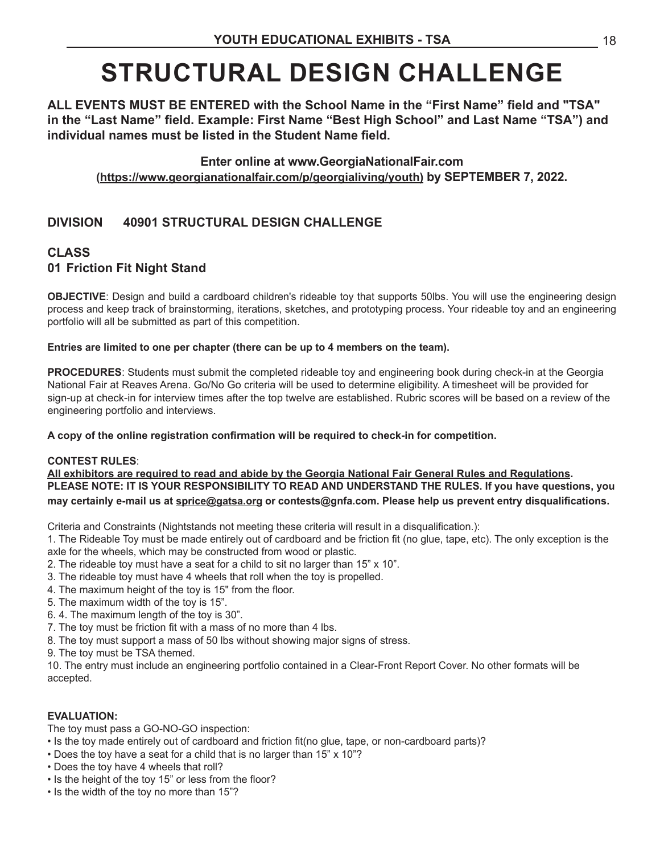# **STRUCTURAL DESIGN CHALLENGE**

**ALL EVENTS MUST BE ENTERED with the School Name in the "First Name" field and "TSA" in the "Last Name" field. Example: First Name "Best High School" and Last Name "TSA") and individual names must be listed in the Student Name field.**

**Enter online at www.GeorgiaNationalFair.com (https://www.georgianationalfair.com/p/georgialiving/youth) by SEPTEMBER 7, 2022.** 

# **DIVISION 40901 STRUCTURAL DESIGN CHALLENGE**

#### **CLASS 01 Friction Fit Night Stand**

**OBJECTIVE**: Design and build a cardboard children's rideable toy that supports 50lbs. You will use the engineering design process and keep track of brainstorming, iterations, sketches, and prototyping process. Your rideable toy and an engineering portfolio will all be submitted as part of this competition.

#### **Entries are limited to one per chapter (there can be up to 4 members on the team).**

**PROCEDURES**: Students must submit the completed rideable toy and engineering book during check-in at the Georgia National Fair at Reaves Arena. Go/No Go criteria will be used to determine eligibility. A timesheet will be provided for sign-up at check-in for interview times after the top twelve are established. Rubric scores will be based on a review of the engineering portfolio and interviews.

**A copy of the online registration confirmation will be required to check-in for competition.** 

#### **CONTEST RULES**:

**All exhibitors are required to read and abide by the Georgia National Fair General Rules and Regulations. PLEASE NOTE: IT IS YOUR RESPONSIBILITY TO READ AND UNDERSTAND THE RULES. If you have questions, you may certainly e-mail us at sprice@gatsa.org or contests@gnfa.com. Please help us prevent entry disqualifications.**

Criteria and Constraints (Nightstands not meeting these criteria will result in a disqualification.):

1. The Rideable Toy must be made entirely out of cardboard and be friction fit (no glue, tape, etc). The only exception is the axle for the wheels, which may be constructed from wood or plastic.

- 2. The rideable toy must have a seat for a child to sit no larger than 15" x 10".
- 3. The rideable toy must have 4 wheels that roll when the toy is propelled.
- 4. The maximum height of the toy is 15" from the floor.
- 5. The maximum width of the toy is 15".
- 6. 4. The maximum length of the toy is 30".
- 7. The toy must be friction fit with a mass of no more than 4 lbs.
- 8. The toy must support a mass of 50 lbs without showing major signs of stress.
- 9. The toy must be TSA themed.

10. The entry must include an engineering portfolio contained in a Clear-Front Report Cover. No other formats will be accepted.

#### **EVALUATION:**

The toy must pass a GO-NO-GO inspection:

- Is the toy made entirely out of cardboard and friction fit(no glue, tape, or non-cardboard parts)?
- Does the toy have a seat for a child that is no larger than 15" x 10"?
- Does the toy have 4 wheels that roll?
- Is the height of the toy 15" or less from the floor?
- Is the width of the toy no more than 15"?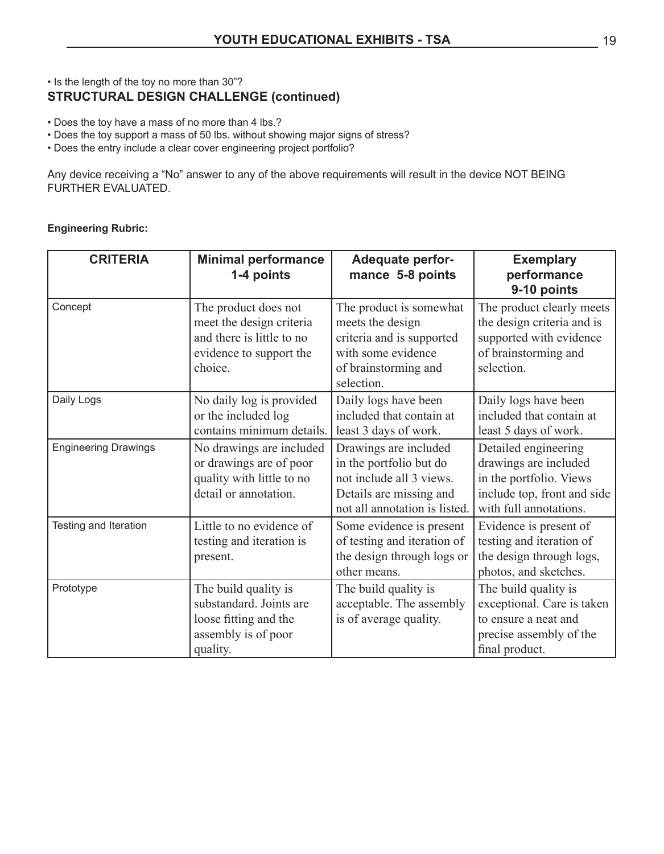• Is the length of the toy no more than 30"?

# **STRUCTURAL DESIGN CHALLENGE (continued)**

- Does the toy have a mass of no more than 4 lbs.?
- Does the toy support a mass of 50 lbs. without showing major signs of stress?
- Does the entry include a clear cover engineering project portfolio?

Any device receiving a "No" answer to any of the above requirements will result in the device NOT BEING FURTHER EVALUATED.

#### **Engineering Rubric:**

| <b>CRITERIA</b>             | <b>Minimal performance</b><br>1-4 points                                                                            | Adequate perfor-<br>mance 5-8 points                                                                                                     | <b>Exemplary</b><br>performance<br>9-10 points                                                                                    |
|-----------------------------|---------------------------------------------------------------------------------------------------------------------|------------------------------------------------------------------------------------------------------------------------------------------|-----------------------------------------------------------------------------------------------------------------------------------|
| Concept                     | The product does not<br>meet the design criteria<br>and there is little to no<br>evidence to support the<br>choice. | The product is somewhat<br>meets the design<br>criteria and is supported<br>with some evidence<br>of brainstorming and<br>selection.     | The product clearly meets<br>the design criteria and is<br>supported with evidence<br>of brainstorming and<br>selection.          |
| Daily Logs                  | No daily log is provided<br>or the included log<br>contains minimum details.                                        | Daily logs have been<br>included that contain at<br>least 3 days of work.                                                                | Daily logs have been<br>included that contain at<br>least 5 days of work.                                                         |
| <b>Engineering Drawings</b> | No drawings are included<br>or drawings are of poor<br>quality with little to no<br>detail or annotation.           | Drawings are included<br>in the portfolio but do<br>not include all 3 views.<br>Details are missing and<br>not all annotation is listed. | Detailed engineering<br>drawings are included<br>in the portfolio. Views<br>include top, front and side<br>with full annotations. |
| Testing and Iteration       | Little to no evidence of<br>testing and iteration is<br>present.                                                    | Some evidence is present<br>of testing and iteration of<br>the design through logs or<br>other means.                                    | Evidence is present of<br>testing and iteration of<br>the design through logs,<br>photos, and sketches.                           |
| Prototype                   | The build quality is<br>substandard. Joints are<br>loose fitting and the<br>assembly is of poor<br>quality.         | The build quality is<br>acceptable. The assembly<br>is of average quality.                                                               | The build quality is<br>exceptional. Care is taken<br>to ensure a neat and<br>precise assembly of the<br>final product.           |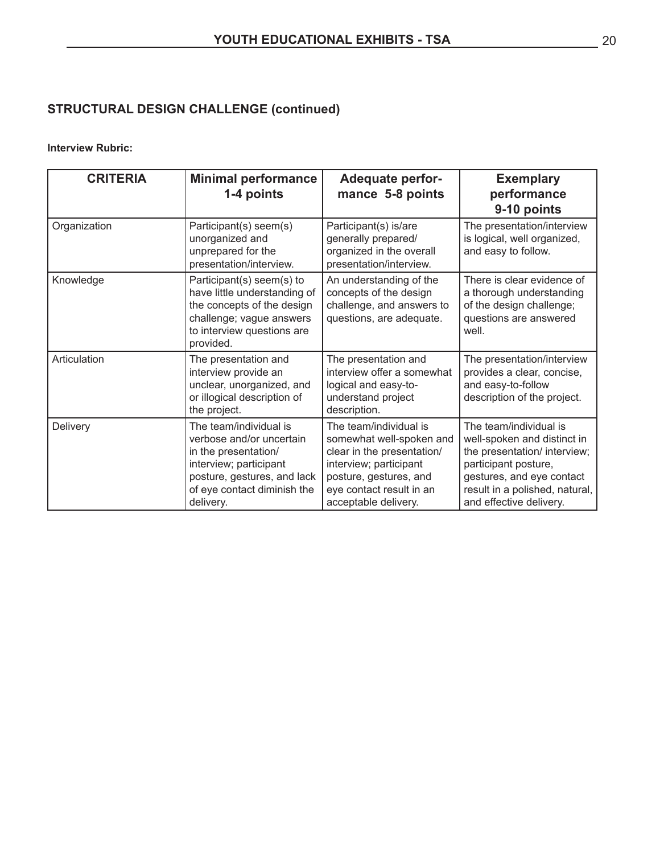# **STRUCTURAL DESIGN CHALLENGE (continued)**

#### **Interview Rubric:**

| <b>CRITERIA</b> | <b>Minimal performance</b><br>1-4 points                                                                                                                                        | <b>Adequate perfor-</b><br>mance 5-8 points                                                                                                                                              | <b>Exemplary</b><br>performance<br>9-10 points                                                                                                                                                          |
|-----------------|---------------------------------------------------------------------------------------------------------------------------------------------------------------------------------|------------------------------------------------------------------------------------------------------------------------------------------------------------------------------------------|---------------------------------------------------------------------------------------------------------------------------------------------------------------------------------------------------------|
| Organization    | Participant(s) seem(s)<br>unorganized and<br>unprepared for the<br>presentation/interview.                                                                                      | Participant(s) is/are<br>generally prepared/<br>organized in the overall<br>presentation/interview.                                                                                      | The presentation/interview<br>is logical, well organized,<br>and easy to follow.                                                                                                                        |
| Knowledge       | Participant(s) seem(s) to<br>have little understanding of<br>the concepts of the design<br>challenge; vague answers<br>to interview questions are<br>provided.                  | An understanding of the<br>concepts of the design<br>challenge, and answers to<br>questions, are adequate.                                                                               | There is clear evidence of<br>a thorough understanding<br>of the design challenge;<br>questions are answered<br>well.                                                                                   |
| Articulation    | The presentation and<br>interview provide an<br>unclear, unorganized, and<br>or illogical description of<br>the project.                                                        | The presentation and<br>interview offer a somewhat<br>logical and easy-to-<br>understand project<br>description.                                                                         | The presentation/interview<br>provides a clear, concise,<br>and easy-to-follow<br>description of the project.                                                                                           |
| Delivery        | The team/individual is<br>verbose and/or uncertain<br>in the presentation/<br>interview; participant<br>posture, gestures, and lack<br>of eye contact diminish the<br>delivery. | The team/individual is<br>somewhat well-spoken and<br>clear in the presentation/<br>interview; participant<br>posture, gestures, and<br>eye contact result in an<br>acceptable delivery. | The team/individual is<br>well-spoken and distinct in<br>the presentation/ interview;<br>participant posture,<br>gestures, and eye contact<br>result in a polished, natural,<br>and effective delivery. |